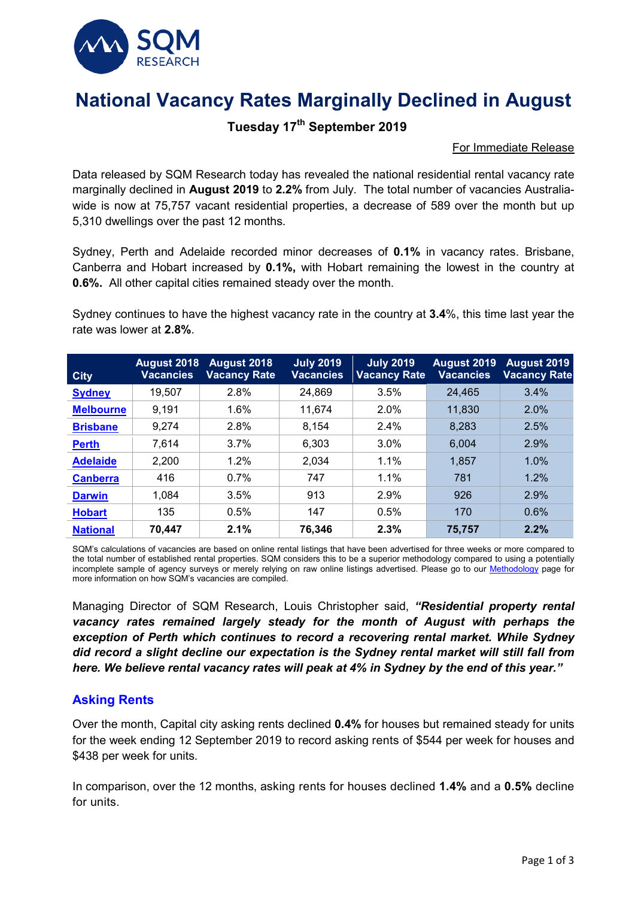

# **National Vacancy Rates Marginally Declined in August**

## **Tuesday 17th September 2019**

#### For Immediate Release

Data released by SQM Research today has revealed the national residential rental vacancy rate marginally declined in **August 2019** to **2.2%** from July. The total number of vacancies Australiawide is now at 75,757 vacant residential properties, a decrease of 589 over the month but up 5,310 dwellings over the past 12 months.

Sydney, Perth and Adelaide recorded minor decreases of **0.1%** in vacancy rates. Brisbane, Canberra and Hobart increased by **0.1%,** with Hobart remaining the lowest in the country at **0.6%.** All other capital cities remained steady over the month.

Sydney continues to have the highest vacancy rate in the country at **3.4**%, this time last year the rate was lower at **2.8%**.

| <b>City</b>      | August 2018<br><b>Vacancies</b> | <b>August 2018</b><br><b>Vacancy Rate</b> | <b>July 2019</b><br><b>Vacancies</b> | <b>July 2019</b><br><b>Vacancy Rate</b> | August 2019<br><b>Vacancies</b> | August 2019<br><b>Vacancy Rate</b> |
|------------------|---------------------------------|-------------------------------------------|--------------------------------------|-----------------------------------------|---------------------------------|------------------------------------|
| <b>Sydney</b>    | 19,507                          | 2.8%                                      | 24,869                               | 3.5%                                    | 24,465                          | 3.4%                               |
| <b>Melbourne</b> | 9,191                           | 1.6%                                      | 11,674                               | 2.0%                                    | 11,830                          | 2.0%                               |
| <b>Brisbane</b>  | 9,274                           | 2.8%                                      | 8,154                                | 2.4%                                    | 8,283                           | 2.5%                               |
| <b>Perth</b>     | 7,614                           | 3.7%                                      | 6,303                                | 3.0%                                    | 6,004                           | 2.9%                               |
| <b>Adelaide</b>  | 2,200                           | 1.2%                                      | 2,034                                | 1.1%                                    | 1,857                           | 1.0%                               |
| <b>Canberra</b>  | 416                             | 0.7%                                      | 747                                  | 1.1%                                    | 781                             | 1.2%                               |
| <b>Darwin</b>    | 1,084                           | 3.5%                                      | 913                                  | 2.9%                                    | 926                             | 2.9%                               |
| <b>Hobart</b>    | 135                             | 0.5%                                      | 147                                  | 0.5%                                    | 170                             | 0.6%                               |
| <b>National</b>  | 70.447                          | 2.1%                                      | 76,346                               | 2.3%                                    | 75,757                          | 2.2%                               |

SQM's calculations of vacancies are based on online rental listings that have been advertised for three weeks or more compared to the total number of established rental properties. SQM considers this to be a superior methodology compared to using a potentially incomplete sample of agency surveys or merely relying on raw online listings advertised. Please go to our [Methodology](https://sqmresearch.com.au/graph_vacancy.php?region=nsw::Sydney&type=c&t=1#terms) page for more information on how SQM's vacancies are compiled.

Managing Director of SQM Research, Louis Christopher said, *"Residential property rental*  vacancy rates remained largely steady for the month of August with perhaps the *exception of Perth which continues to record a recovering rental market. While Sydney did record a slight decline our expectation is the Sydney rental market will still fall from here. We believe rental vacancy rates will peak at 4% in Sydney by the end of this year."*

#### **Asking Rents**

Over the month, Capital city asking rents declined **0.4%** for houses but remained steady for units for the week ending 12 September 2019 to record asking rents of \$544 per week for houses and \$438 per week for units.

In comparison, over the 12 months, asking rents for houses declined **1.4%** and a **0.5%** decline for units.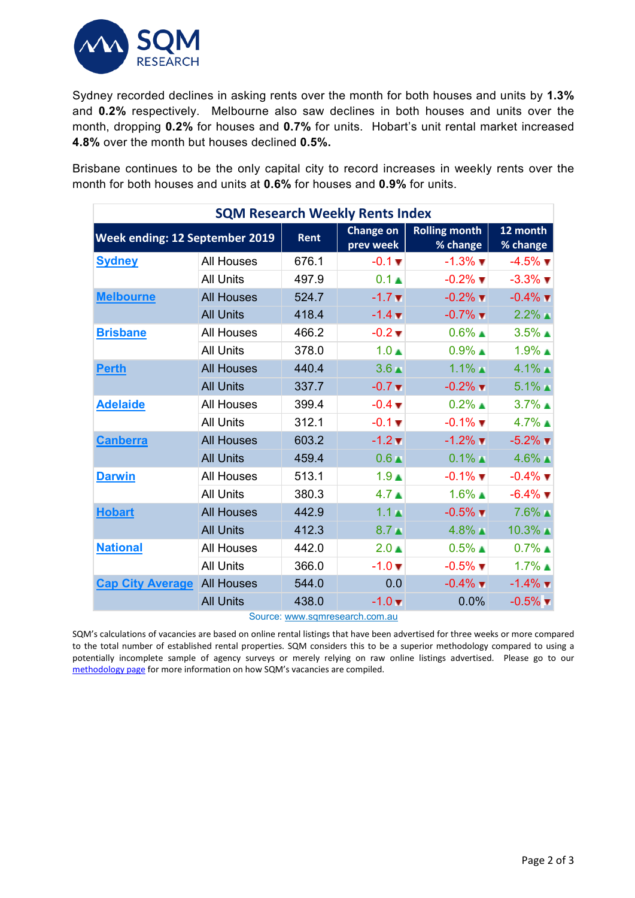

Sydney recorded declines in asking rents over the month for both houses and units by **1.3%** and **0.2%** respectively. Melbourne also saw declines in both houses and units over the month, dropping **0.2%** for houses and **0.7%** for units. Hobart's unit rental market increased **4.8%** over the month but houses declined **0.5%.**

Brisbane continues to be the only capital city to record increases in weekly rents over the month for both houses and units at **0.6%** for houses and **0.9%** for units.

| <b>SQM Research Weekly Rents Index</b> |                   |                        |                                  |                               |                               |  |  |  |
|----------------------------------------|-------------------|------------------------|----------------------------------|-------------------------------|-------------------------------|--|--|--|
| Week ending: 12 September 2019         | Rent              | Change on<br>prev week | <b>Rolling month</b><br>% change | 12 month<br>% change          |                               |  |  |  |
| <b>Sydney</b>                          | <b>All Houses</b> | 676.1                  | $-0.1 \blacktriangledown$        | $-1.3\%$ $\blacksquare$       | $-4.5\%$ $\blacksquare$       |  |  |  |
|                                        | <b>All Units</b>  | 497.9                  | $0.1 \triangle$                  | $-0.2\%$ $\blacksquare$       | $-3.3\%$ $\blacktriangledown$ |  |  |  |
| <b>Melbourne</b>                       | <b>All Houses</b> | 524.7                  | $-1.7$ $\times$                  | $-0.2\%$ $\blacksquare$       | $-0.4\%$ $\blacktriangledown$ |  |  |  |
|                                        | <b>All Units</b>  | 418.4                  | $-1.4 \, \text{V}$               | $-0.7\%$ $\blacksquare$       | $2.2\%$                       |  |  |  |
| <b>Brisbane</b>                        | <b>All Houses</b> | 466.2                  | $-0.2$ $\blacktriangledown$      | $0.6\%$ $\blacksquare$        | $3.5\%$ $\triangle$           |  |  |  |
|                                        | <b>All Units</b>  | 378.0                  | $1.0 \triangle$                  | $0.9\%$ $\blacktriangle$      | $1.9\%$ $\triangle$           |  |  |  |
| <b>Perth</b>                           | <b>All Houses</b> | 440.4                  | $3.6 \triangle$                  | $1.1\%$ $\triangle$           | $4.1\%$ $\triangle$           |  |  |  |
|                                        | <b>All Units</b>  | 337.7                  | $-0.7$ $\blacktriangledown$      | $-0.2\%$ $\blacktriangledown$ | $5.1\%$ $\triangle$           |  |  |  |
| <b>Adelaide</b>                        | <b>All Houses</b> | 399.4                  | $-0.4$ $\blacktriangledown$      | $0.2\%$ $\triangle$           | $3.7\%$ $\triangle$           |  |  |  |
|                                        | <b>All Units</b>  | 312.1                  | $-0.1 \blacktriangledown$        | $-0.1\%$ $\blacksquare$       | $4.7\%$ $\triangle$           |  |  |  |
| <b>Canberra</b>                        | <b>All Houses</b> | 603.2                  | $-1.2 \times$                    | $-1.2\%$ $\blacksquare$       | $-5.2\%$ $\blacktriangledown$ |  |  |  |
|                                        | <b>All Units</b>  | 459.4                  | $0.6 \triangle$                  | $0.1\%$ $\blacksquare$        | $4.6\%$ $\triangle$           |  |  |  |
| <b>Darwin</b>                          | <b>All Houses</b> | 513.1                  | 1.9 <sub>A</sub>                 | $-0.1\%$ $\blacksquare$       | $-0.4\%$ $\blacksquare$       |  |  |  |
|                                        | <b>All Units</b>  | 380.3                  | 4.7 <sub>A</sub>                 | $1.6\%$ $\triangle$           | $-6.4\%$ $\blacktriangledown$ |  |  |  |
| <b>Hobart</b>                          | <b>All Houses</b> | 442.9                  | $1.1+$                           | $-0.5\%$ $\blacksquare$       | 7.6% ▲                        |  |  |  |
|                                        | <b>All Units</b>  | 412.3                  | $8.7 \triangle$                  | $4.8\%$ $\blacktriangle$      | $10.3\%$ $\blacksquare$       |  |  |  |
| <b>National</b>                        | <b>All Houses</b> | 442.0                  | $2.0 \triangle$                  | $0.5\%$ $\triangle$           | $0.7\%$ $\triangle$           |  |  |  |
|                                        | <b>All Units</b>  | 366.0                  | $-1.0 \; \text{V}$               | $-0.5\%$ $\blacksquare$       | $1.7\%$ $\triangle$           |  |  |  |
| <b>Cap City Average</b>                | <b>All Houses</b> | 544.0                  | 0.0                              | $-0.4\%$ $\blacksquare$       | $-1.4\%$ $\blacktriangledown$ |  |  |  |
|                                        | <b>All Units</b>  | 438.0                  | $-1.0 \, \text{V}$               | 0.0%                          | $-0.5\%$ $\blacktriangledown$ |  |  |  |

Source: [www.sqmresearch.com.au](http://www.sqmresearch.com.au/)

SQM's calculations of vacancies are based on online rental listings that have been advertised for three weeks or more compared to the total number of established rental properties. SQM considers this to be a superior methodology compared to using a potentially incomplete sample of agency surveys or merely relying on raw online listings advertised. Please go to our [methodology page](https://sqmresearch.com.au/pdfs/methodologydocumentrentsindex.pdf) for more information on how SQM's vacancies are compiled.